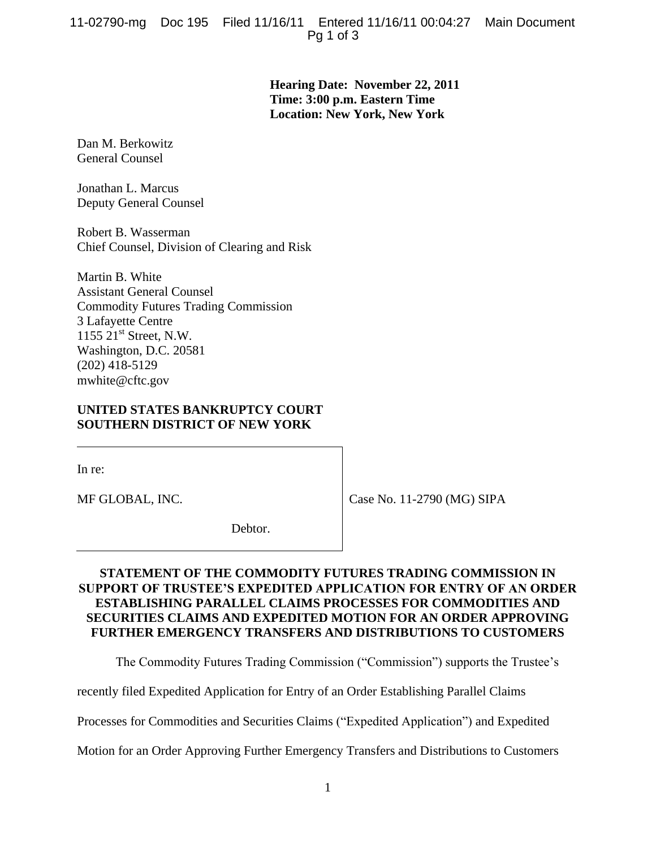**Hearing Date: November 22, 2011 Time: 3:00 p.m. Eastern Time Location: New York, New York**

Dan M. Berkowitz General Counsel

Jonathan L. Marcus Deputy General Counsel

Robert B. Wasserman Chief Counsel, Division of Clearing and Risk

Martin B. White Assistant General Counsel Commodity Futures Trading Commission 3 Lafayette Centre 1155 21<sup>st</sup> Street, N.W. Washington, D.C. 20581 (202) 418-5129 mwhite@cftc.gov

## **UNITED STATES BANKRUPTCY COURT SOUTHERN DISTRICT OF NEW YORK**

In re:

MF GLOBAL, INC.

Case No. 11-2790 (MG) SIPA

Debtor.

## **STATEMENT OF THE COMMODITY FUTURES TRADING COMMISSION IN SUPPORT OF TRUSTEE'S EXPEDITED APPLICATION FOR ENTRY OF AN ORDER ESTABLISHING PARALLEL CLAIMS PROCESSES FOR COMMODITIES AND SECURITIES CLAIMS AND EXPEDITED MOTION FOR AN ORDER APPROVING FURTHER EMERGENCY TRANSFERS AND DISTRIBUTIONS TO CUSTOMERS**

The Commodity Futures Trading Commission ("Commission") supports the Trustee's

recently filed Expedited Application for Entry of an Order Establishing Parallel Claims

Processes for Commodities and Securities Claims ("Expedited Application") and Expedited

Motion for an Order Approving Further Emergency Transfers and Distributions to Customers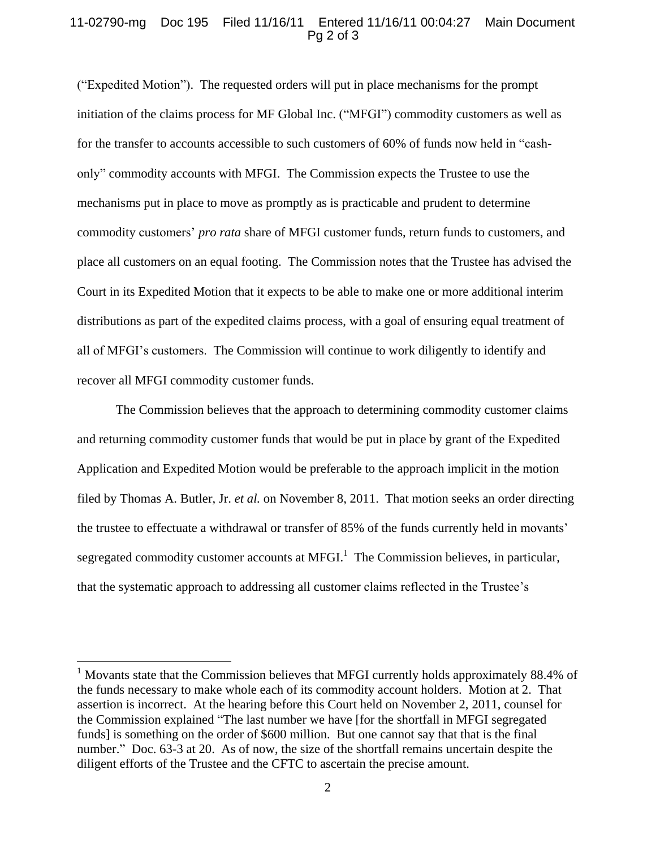## 11-02790-mg Doc 195 Filed 11/16/11 Entered 11/16/11 00:04:27 Main Document Pg 2 of 3

("Expedited Motion"). The requested orders will put in place mechanisms for the prompt initiation of the claims process for MF Global Inc. ("MFGI") commodity customers as well as for the transfer to accounts accessible to such customers of 60% of funds now held in "cashonly" commodity accounts with MFGI. The Commission expects the Trustee to use the mechanisms put in place to move as promptly as is practicable and prudent to determine commodity customers' *pro rata* share of MFGI customer funds, return funds to customers, and place all customers on an equal footing. The Commission notes that the Trustee has advised the Court in its Expedited Motion that it expects to be able to make one or more additional interim distributions as part of the expedited claims process, with a goal of ensuring equal treatment of all of MFGI's customers. The Commission will continue to work diligently to identify and recover all MFGI commodity customer funds.

The Commission believes that the approach to determining commodity customer claims and returning commodity customer funds that would be put in place by grant of the Expedited Application and Expedited Motion would be preferable to the approach implicit in the motion filed by Thomas A. Butler, Jr. *et al.* on November 8, 2011. That motion seeks an order directing the trustee to effectuate a withdrawal or transfer of 85% of the funds currently held in movants' segregated commodity customer accounts at MFGI.<sup>1</sup> The Commission believes, in particular, that the systematic approach to addressing all customer claims reflected in the Trustee's

 $\overline{a}$ 

 $1$  Movants state that the Commission believes that MFGI currently holds approximately 88.4% of the funds necessary to make whole each of its commodity account holders. Motion at 2. That assertion is incorrect. At the hearing before this Court held on November 2, 2011, counsel for the Commission explained "The last number we have [for the shortfall in MFGI segregated funds] is something on the order of \$600 million. But one cannot say that that is the final number." Doc. 63-3 at 20. As of now, the size of the shortfall remains uncertain despite the diligent efforts of the Trustee and the CFTC to ascertain the precise amount.